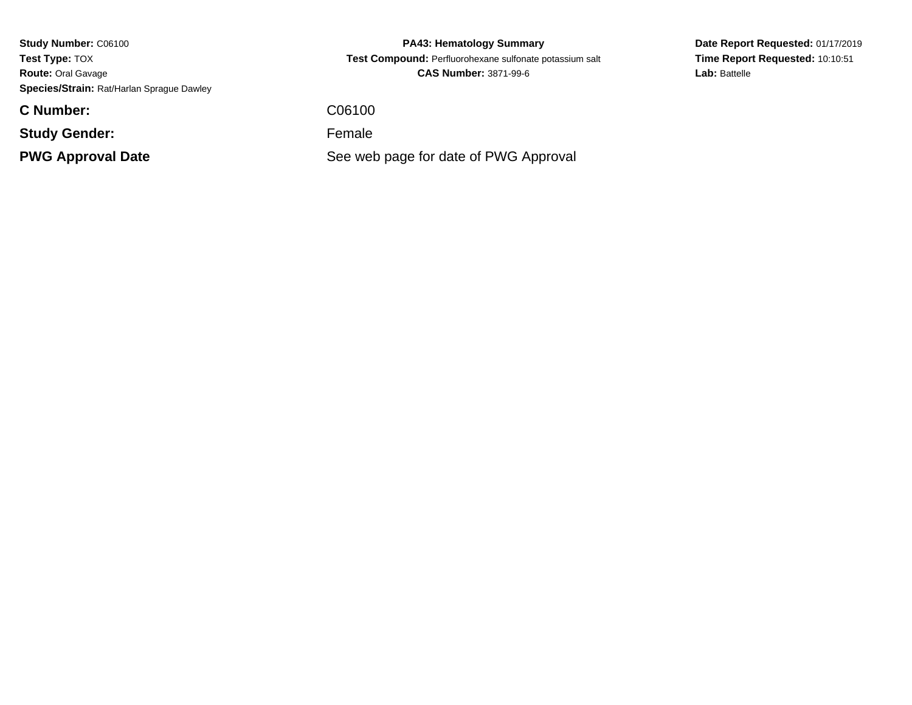**C Number:**

**Study Gender:**

**PWG Approval Date**

**PA43: Hematology Summary Test Compound:** Perfluorohexane sulfonate potassium salt**CAS Number:** 3871-99-6

C06100

Female

See web page for date of PWG Approval

**Date Report Requested:** 01/17/2019**Time Report Requested:** 10:10:51Lab: Battelle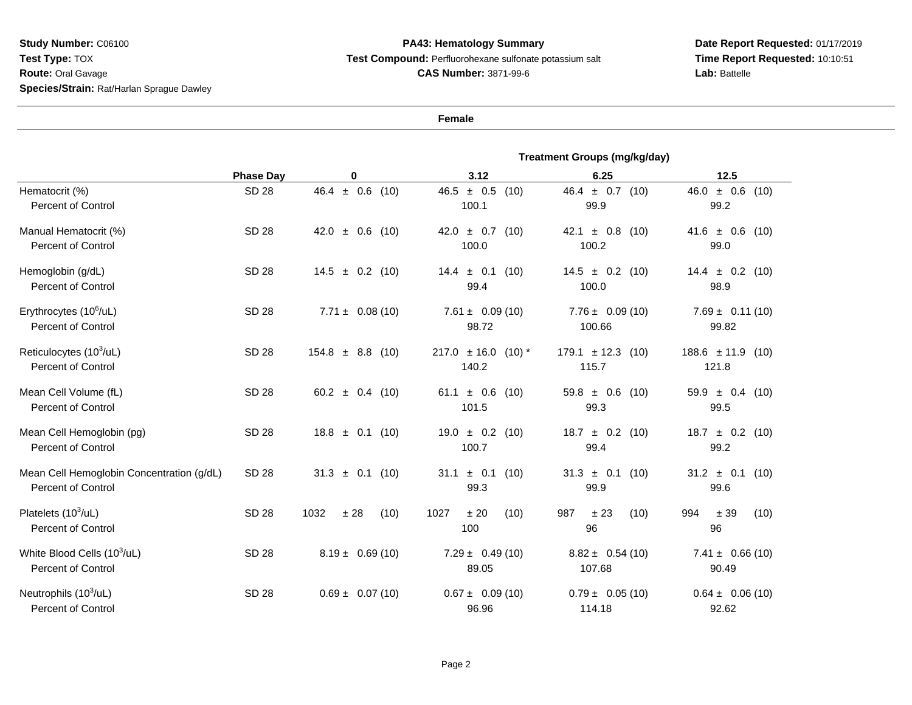## **PA43: Hematology Summary Test Compound:** Perfluorohexane sulfonate potassium salt**CAS Number:** 3871-99-6

**Date Report Requested:** 01/17/2019 **Time Report Requested:** 10:10:51**Lab:** Battelle

**Female**

|                                                                        |                  |                        | Treatment Groups (mg/kg/day)     |                                   |                                   |
|------------------------------------------------------------------------|------------------|------------------------|----------------------------------|-----------------------------------|-----------------------------------|
|                                                                        | <b>Phase Day</b> | 0                      | 3.12                             | 6.25                              | 12.5                              |
| Hematocrit (%)<br><b>Percent of Control</b>                            | <b>SD 28</b>     | $46.4 \pm 0.6$ (10)    | $46.5 \pm 0.5$ (10)<br>100.1     | $46.4 \pm 0.7$ (10)<br>99.9       | $46.0 \pm 0.6$ (10)<br>99.2       |
| Manual Hematocrit (%)<br><b>Percent of Control</b>                     | <b>SD 28</b>     | $\pm$ 0.6 (10)<br>42.0 | $42.0 \pm 0.7$<br>(10)<br>100.0  | 42.1 $\pm$ 0.8<br>(10)<br>100.2   | $41.6 \pm 0.6$<br>(10)<br>99.0    |
| Hemoglobin (g/dL)<br><b>Percent of Control</b>                         | SD 28            | $14.5 \pm 0.2$ (10)    | $14.4 \pm 0.1$<br>(10)<br>99.4   | $14.5 \pm 0.2$ (10)<br>100.0      | $14.4 \pm 0.2$ (10)<br>98.9       |
| Erythrocytes (10 <sup>6</sup> /uL)<br><b>Percent of Control</b>        | <b>SD 28</b>     | $7.71 \pm 0.08(10)$    | $7.61 \pm 0.09(10)$<br>98.72     | $7.76 \pm 0.09(10)$<br>100.66     | $7.69 \pm 0.11(10)$<br>99.82      |
| Reticulocytes $(10^3/\text{ul})$<br><b>Percent of Control</b>          | <b>SD 28</b>     | $154.8 \pm 8.8$ (10)   | $217.0 \pm 16.0 (10)^*$<br>140.2 | $179.1 \pm 12.3$<br>(10)<br>115.7 | $188.6 \pm 11.9$<br>(10)<br>121.8 |
| Mean Cell Volume (fL)<br><b>Percent of Control</b>                     | <b>SD 28</b>     | 60.2 $\pm$ 0.4 (10)    | 61.1 $\pm$ 0.6<br>(10)<br>101.5  | $59.8 \pm 0.6$<br>(10)<br>99.3    | $59.9 \pm 0.4$<br>(10)<br>99.5    |
| Mean Cell Hemoglobin (pg)<br><b>Percent of Control</b>                 | <b>SD 28</b>     | $18.8 \pm 0.1$ (10)    | $19.0 \pm 0.2$ (10)<br>100.7     | $18.7 \pm 0.2$<br>(10)<br>99.4    | $18.7 \pm 0.2$ (10)<br>99.2       |
| Mean Cell Hemoglobin Concentration (g/dL)<br><b>Percent of Control</b> | <b>SD 28</b>     | $31.3 \pm 0.1$ (10)    | $31.1 \pm 0.1$ (10)<br>99.3      | $31.3 \pm 0.1$<br>(10)<br>99.9    | $31.2 \pm 0.1$<br>(10)<br>99.6    |
| Platelets (10 <sup>3</sup> /uL)<br><b>Percent of Control</b>           | <b>SD 28</b>     | 1032<br>± 28<br>(10)   | 1027<br>± 20<br>(10)<br>100      | 987<br>± 23<br>(10)<br>96         | 994<br>± 39<br>(10)<br>96         |
| White Blood Cells (10 <sup>3</sup> /uL)<br><b>Percent of Control</b>   | SD 28            | $8.19 \pm 0.69(10)$    | $7.29 \pm 0.49(10)$<br>89.05     | $8.82 \pm 0.54(10)$<br>107.68     | $7.41 \pm 0.66(10)$<br>90.49      |
| Neutrophils $(10^3/\text{ul})$<br><b>Percent of Control</b>            | <b>SD 28</b>     | $0.69 \pm 0.07(10)$    | $0.67 \pm 0.09(10)$<br>96.96     | $0.79 \pm 0.05(10)$<br>114.18     | $0.64 \pm 0.06(10)$<br>92.62      |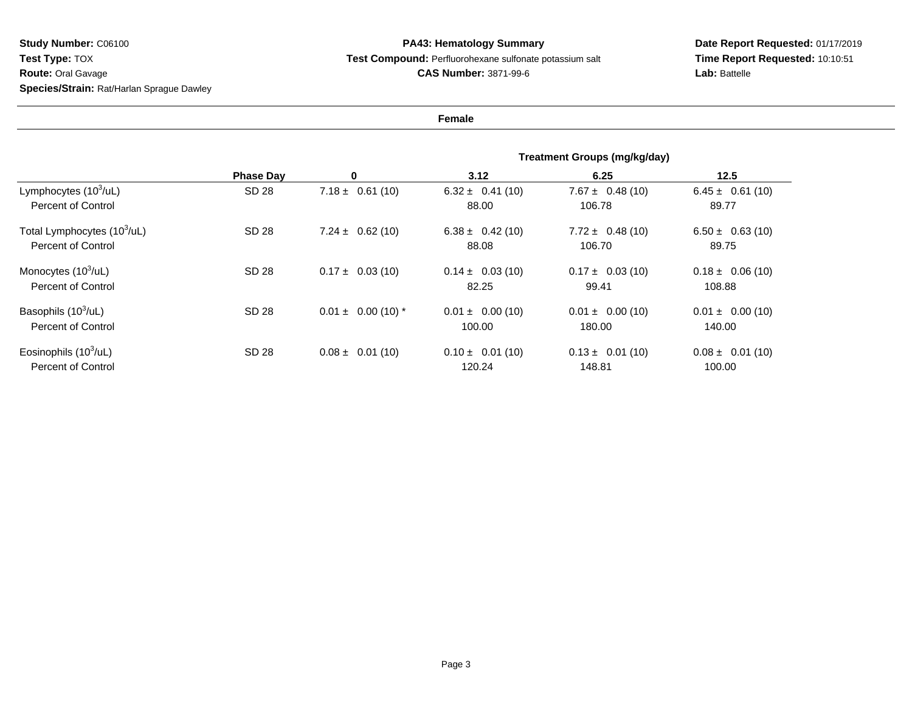## **PA43: Hematology Summary Test Compound:** Perfluorohexane sulfonate potassium salt**CAS Number:** 3871-99-6

**Date Report Requested:** 01/17/2019 **Time Report Requested:** 10:10:51**Lab:** Battelle

**Female**

|                                                               | <b>Phase Day</b> |                        | Treatment Groups (mg/kg/day)   |                                |                                |
|---------------------------------------------------------------|------------------|------------------------|--------------------------------|--------------------------------|--------------------------------|
|                                                               |                  | 0                      | 3.12                           | 6.25                           | 12.5                           |
| Lymphocytes $(10^3/\text{ul})$<br><b>Percent of Control</b>   | SD 28            | $7.18 \pm 0.61(10)$    | $6.32 \pm 0.41(10)$<br>88.00   | $7.67 \pm 0.48(10)$<br>106.78  | $6.45 \pm 0.61(10)$<br>89.77   |
| Total Lymphocytes (10 <sup>3</sup> /uL)<br>Percent of Control | SD 28            | $7.24 \pm 0.62(10)$    | $6.38 \pm 0.42(10)$<br>88.08   | $7.72 \pm 0.48(10)$<br>106.70  | $6.50 \pm 0.63(10)$<br>89.75   |
| Monocytes $(10^3/\text{ul})$<br><b>Percent of Control</b>     | SD 28            | $0.17 \pm 0.03(10)$    | $0.14 \pm 0.03(10)$<br>82.25   | $0.17 \pm 0.03$ (10)<br>99.41  | $0.18 \pm 0.06$ (10)<br>108.88 |
| Basophils (10 <sup>3</sup> /uL)<br>Percent of Control         | SD 28            | $0.01 \pm 0.00$ (10) * | $0.01 \pm 0.00$ (10)<br>100.00 | $0.01 \pm 0.00$ (10)<br>180.00 | $0.01 \pm 0.00$ (10)<br>140.00 |
| Eosinophils $(10^3/\text{ul})$<br><b>Percent of Control</b>   | SD 28            | $0.08 \pm 0.01(10)$    | $0.10 \pm 0.01$ (10)<br>120.24 | $0.13 \pm 0.01$ (10)<br>148.81 | $0.08 \pm 0.01$ (10)<br>100.00 |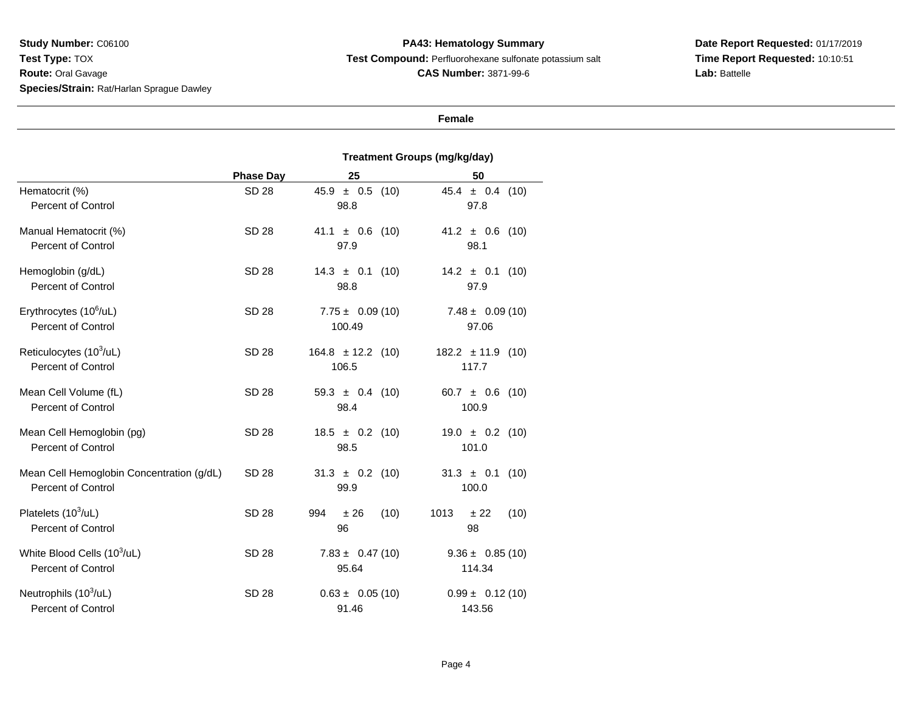**PA43: Hematology Summary Test Compound:** Perfluorohexane sulfonate potassium salt**CAS Number:** 3871-99-6

**Date Report Requested:** 01/17/2019**Time Report Requested:** 10:10:51Lab: Battelle

#### **Female**

#### **Treatment Groups (mg/kg/day)Phase Day <sup>25</sup> <sup>50</sup>** Hematocrit (%) SD 28 45.9 ± 0.5 (10) 45.4 ± 0.4 (10) Percent of Control 98.8 97.8 Manual Hematocrit (%) SD 28 $41.1 \pm 0.6$  (10)  $41.2 \pm 0.6$  (10)<br>97.9 98.1 Percent of Control 97.99 98.1 Hemoglobin (g/dL) SD 2814.3  $\pm$  0.1 (10) 14.2  $\pm$  0.1 (10) 98.8 97.9 Percent of Control 98.8 97.9 Erythrocytes (10<sup>6</sup>/uL) SD 28 $7.75 \pm 0.09(10)$   $7.48 \pm 0.09(10)$ Percent of Control 100.49 97.06 Reticulocytes  $(10^3/\text{ul})$  SD 28164.8 ± 12.2 (10) 182.2 ± 11.9 (10)<br>106.5 117.7 Percent of Control $1$  117.7 Mean Cell Volume (fL) SD 28 $59.3 \pm 0.4$  (10)  $60.7 \pm 0.6$  (10)<br>98.4 100.9 Percent of Control 98.4 100.9 Mean Cell Hemoglobin (pg) SD 28 $18.5 \pm 0.2$  (10)  $19.0 \pm 0.2$  (10)<br>98.5 101.0 Percent of Control 98.5 101.0 Mean Cell Hemoglobin Concentration (g/dL) SD 28 $31.3 \pm 0.2$  (10)  $31.3 \pm 0.1$  (10)<br>99.9 100.0 Percent of Control 99.9 100.0 Platelets  $(10^3/\text{ul})$  SD 28 994 ± 26 (10) 1013 ± 22 (10) Percent of Control 96 <sup>98</sup> White Blood Cells  $(10^3/\text{UL})$  SD 28 $7.83 \pm 0.47$  (10)  $9.36 \pm 0.85$  (10)<br>95.64 114.34 Percent of Control 95.64 114.34 Neutrophils  $(10^3/\text{UL})$  SD 28 $0.63 \pm 0.05$  (10)  $0.99 \pm 0.12$  (10)<br>91.46 143.56 Percent of Control143.56

91.46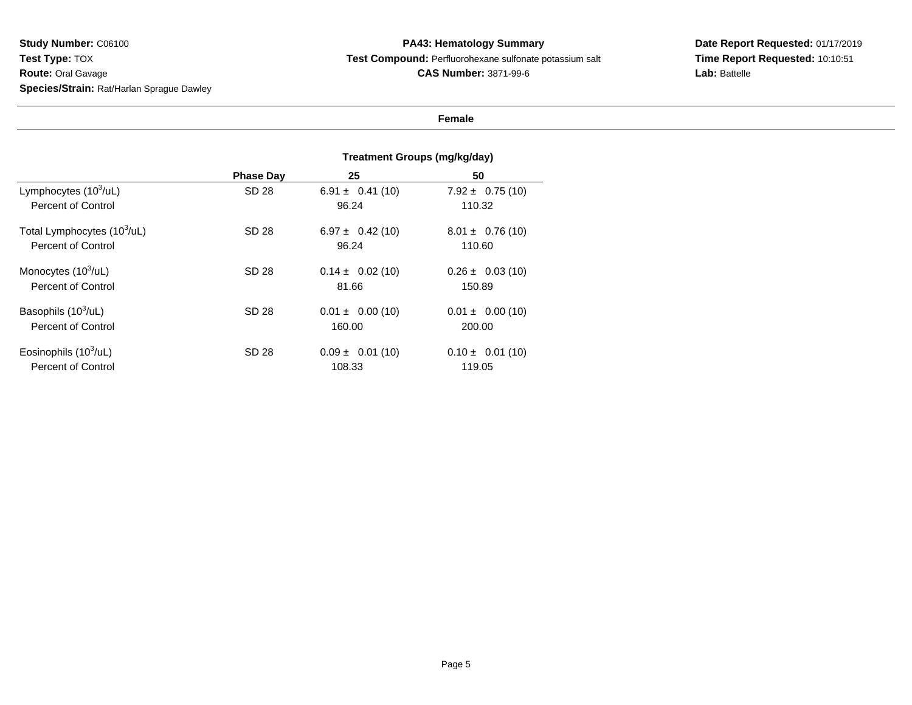### **PA43: Hematology Summary Test Compound:** Perfluorohexane sulfonate potassium salt**CAS Number:** 3871-99-6

# **Date Report Requested:** 01/17/2019**Time Report Requested:** 10:10:51**Lab:** Battelle

#### **Female**

#### **Treatment Groups (mg/kg/day)Phase Day <sup>25</sup> <sup>50</sup>** Lymphocytes  $(10^3/\text{ul})$  SD 28 $6.91 \pm 0.41$  (10)  $7.92 \pm 0.75$  (10)<br>96.24 110.32 Percent of Control 96.24 110.32 Total Lymphocytes (10<sup>3</sup>/uL) SD 28 $6.97 \pm 0.42$  (10)  $8.01 \pm 0.76$  (10)<br>96.24 110.60 Percent of Control 96.24 110.60 Monocytes (10<sup>3</sup>/uL) SD 28 $0.14 \pm 0.02$  (10)  $0.26 \pm 0.03$  (10)<br>81.66 150.89 Percent of Control 81.66 150.89 Basophils  $(10^3/\text{ul})$  SD 28 $0.01 \pm 0.00$  (10)  $0.01 \pm 0.00$  (10) Percent of Control 160.00 200.00 Eosinophils  $(10^3/\text{ul})$  SD 28 $0.09 \pm 0.01$  (10)  $0.10 \pm 0.01$  (10) Percent of Control 108.33119.05